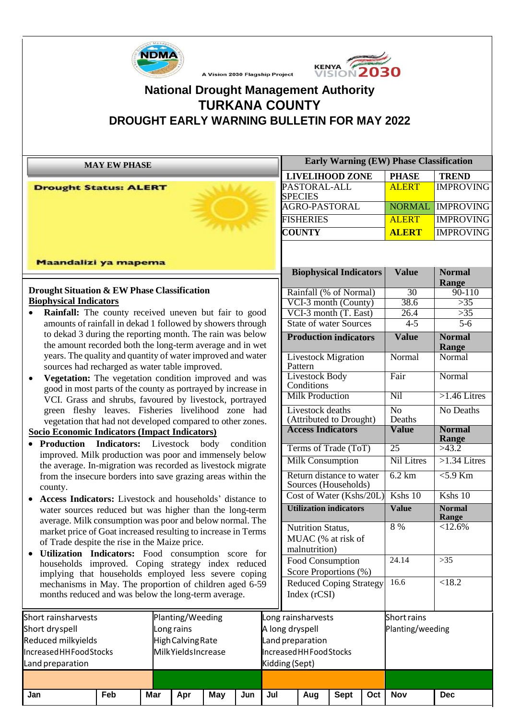



# **National Drought Management Authority TURKANA COUNTY DROUGHT EARLY WARNING BULLETIN FOR MAY 2022**

A Vision 2030 Flagship Project

| <b>MAY EW PHASE</b>                                                                                                                                                                  |     |           |     |                          |                                                  | <b>Early Warning (EW) Phase Classification</b> |                                                         |                        |                               |                  |                   |                        |
|--------------------------------------------------------------------------------------------------------------------------------------------------------------------------------------|-----|-----------|-----|--------------------------|--------------------------------------------------|------------------------------------------------|---------------------------------------------------------|------------------------|-------------------------------|------------------|-------------------|------------------------|
|                                                                                                                                                                                      |     |           |     |                          |                                                  |                                                | <b>LIVELIHOOD ZONE</b>                                  |                        |                               |                  | <b>PHASE</b>      | <b>TREND</b>           |
| <b>Drought Status: ALERT</b>                                                                                                                                                         |     |           |     |                          |                                                  |                                                | PASTORAL-ALL<br><b>SPECIES</b>                          |                        |                               | <b>ALERT</b>     | <b>IMPROVING</b>  |                        |
|                                                                                                                                                                                      |     |           |     |                          |                                                  |                                                |                                                         | <b>AGRO-PASTORAL</b>   |                               | <b>NORMAL</b>    | <b>IMPROVING</b>  |                        |
|                                                                                                                                                                                      |     |           |     |                          |                                                  |                                                |                                                         | <b>FISHERIES</b>       |                               |                  | <b>ALERT</b>      | <b>IMPROVING</b>       |
|                                                                                                                                                                                      |     |           |     |                          |                                                  |                                                |                                                         | <b>COUNTY</b>          |                               |                  | <b>ALERT</b>      | <b>IMPROVING</b>       |
|                                                                                                                                                                                      |     |           |     |                          |                                                  |                                                |                                                         |                        |                               |                  |                   |                        |
| Maandalizi ya mapema                                                                                                                                                                 |     |           |     |                          |                                                  |                                                |                                                         |                        |                               |                  |                   |                        |
|                                                                                                                                                                                      |     |           |     |                          |                                                  |                                                |                                                         |                        | <b>Biophysical Indicators</b> |                  | <b>Value</b>      | <b>Normal</b>          |
| Drought Situation & EW Phase Classification                                                                                                                                          |     |           |     |                          |                                                  |                                                |                                                         |                        | Rainfall (% of Normal)        |                  | $\overline{30}$   | Range<br>$90 - 110$    |
| <b>Biophysical Indicators</b>                                                                                                                                                        |     |           |     |                          |                                                  |                                                |                                                         |                        | VCI-3 month (County)          |                  | 38.6              | >35                    |
| <b>Rainfall:</b> The county received uneven but fair to good                                                                                                                         |     |           |     |                          |                                                  |                                                |                                                         | VCI-3 month (T. East)  |                               | 26.4             | >35               |                        |
| amounts of rainfall in dekad 1 followed by showers through                                                                                                                           |     |           |     |                          |                                                  |                                                |                                                         |                        | <b>State of water Sources</b> |                  | $4-5$             | $\overline{5-6}$       |
| to dekad 3 during the reporting month. The rain was below<br>the amount recorded both the long-term average and in wet                                                               |     |           |     |                          |                                                  |                                                |                                                         |                        | <b>Production indicators</b>  |                  | <b>Value</b>      | <b>Normal</b><br>Range |
| years. The quality and quantity of water improved and water                                                                                                                          |     |           |     |                          |                                                  |                                                |                                                         | Pattern                | <b>Livestock Migration</b>    |                  | Normal            | Normal                 |
| sources had recharged as water table improved.<br>Vegetation: The vegetation condition improved and was<br>$\bullet$<br>good in most parts of the county as portrayed by increase in |     |           |     |                          |                                                  | <b>Livestock Body</b><br>Conditions            |                                                         |                        | Fair                          | Normal           |                   |                        |
|                                                                                                                                                                                      |     |           |     |                          |                                                  |                                                |                                                         | <b>Milk Production</b> |                               |                  | Nil               | $>1.46$ Litres         |
| VCI. Grass and shrubs, favoured by livestock, portrayed<br>green fleshy leaves. Fisheries livelihood zone had<br>vegetation that had not developed compared to other zones.          |     |           |     |                          |                                                  | Livestock deaths                               | (Attributed to Drought)                                 |                        | $\overline{No}$<br>Deaths     | No Deaths        |                   |                        |
| Socio Economic Indicators (Impact Indicators)                                                                                                                                        |     |           |     |                          |                                                  |                                                |                                                         |                        | <b>Access Indicators</b>      |                  | <b>Value</b>      | <b>Normal</b>          |
| • Production Indicators:                                                                                                                                                             |     | Livestock |     | body                     | condition                                        |                                                |                                                         |                        | Terms of Trade (ToT)          |                  | $\overline{25}$   | Range<br>>43.2         |
| improved. Milk production was poor and immensely below                                                                                                                               |     |           |     |                          |                                                  |                                                |                                                         |                        | <b>Milk Consumption</b>       |                  | <b>Nil Litres</b> | $>1.34$ Litres         |
| the average. In-migration was recorded as livestock migrate                                                                                                                          |     |           |     |                          |                                                  |                                                |                                                         |                        |                               |                  |                   |                        |
| from the insecure borders into save grazing areas within the<br>county.                                                                                                              |     |           |     |                          | Return distance to water<br>Sources (Households) |                                                | 6.2 km                                                  | $5.9$ Km               |                               |                  |                   |                        |
| Access Indicators: Livestock and households' distance to                                                                                                                             |     |           |     |                          |                                                  | Cost of Water (Kshs/20L)                       |                                                         |                        |                               | Kshs 10          | Kshs 10           |                        |
| water sources reduced but was higher than the long-term<br>average. Milk consumption was poor and below normal. The                                                                  |     |           |     |                          |                                                  | <b>Utilization indicators</b>                  |                                                         | <b>Value</b>           | <b>Normal</b><br>Range        |                  |                   |                        |
| market price of Goat increased resulting to increase in Terms                                                                                                                        |     |           |     |                          |                                                  |                                                | Nutrition Status,<br>MUAC (% at risk of                 |                        |                               |                  | 8%                | < 12.6%                |
| of Trade despite the rise in the Maize price.                                                                                                                                        |     |           |     |                          |                                                  |                                                |                                                         | malnutrition)          |                               |                  |                   |                        |
| Utilization Indicators: Food consumption score for                                                                                                                                   |     |           |     |                          |                                                  |                                                |                                                         |                        | Food Consumption              |                  | 24.14             | $>35$                  |
| households improved. Coping strategy index reduced                                                                                                                                   |     |           |     |                          |                                                  |                                                |                                                         |                        |                               |                  |                   |                        |
| implying that households employed less severe coping<br>mechanisms in May. The proportion of children aged 6-59                                                                      |     |           |     |                          |                                                  |                                                | Score Proportions (%)<br><b>Reduced Coping Strategy</b> |                        |                               |                  | 16.6              | < 18.2                 |
| months reduced and was below the long-term average.                                                                                                                                  |     |           |     |                          |                                                  |                                                | Index $(rCSI)$                                          |                        |                               |                  |                   |                        |
|                                                                                                                                                                                      |     |           |     |                          |                                                  |                                                |                                                         |                        |                               |                  |                   |                        |
| Planting/Weeding<br>Short rainsharvests                                                                                                                                              |     |           |     |                          | ong rainsharvests                                |                                                |                                                         |                        | Short rains                   |                  |                   |                        |
| Short dryspell<br>Long rains                                                                                                                                                         |     |           |     |                          |                                                  |                                                | A long dryspell                                         |                        |                               | Planting/weeding |                   |                        |
| Reduced milkyields<br>High Calving Rate                                                                                                                                              |     |           |     |                          | Land preparation                                 |                                                |                                                         |                        |                               |                  |                   |                        |
| Increased HHFood Stocks<br>MilkYieldsIncrease                                                                                                                                        |     |           |     | Increased HH Food Stocks |                                                  |                                                |                                                         |                        |                               |                  |                   |                        |
| Land preparation                                                                                                                                                                     |     |           |     | Kidding (Sept)           |                                                  |                                                |                                                         |                        |                               |                  |                   |                        |
|                                                                                                                                                                                      |     |           |     |                          |                                                  |                                                |                                                         |                        |                               |                  |                   |                        |
| Jan                                                                                                                                                                                  | Feb | Mar       | Apr | <b>May</b>               | Jun                                              | Jul                                            |                                                         | Aug                    | <b>Sept</b>                   | Oct              | <b>Nov</b>        | <b>Dec</b>             |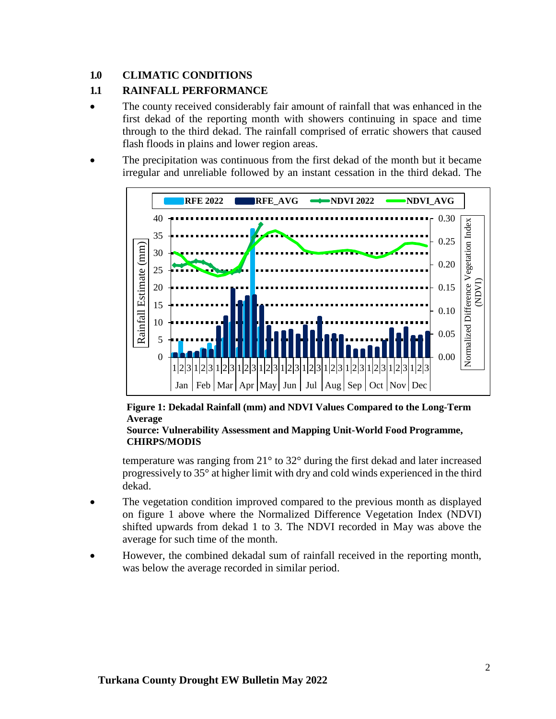### **1.0 CLIMATIC CONDITIONS**

### **1.1 RAINFALL PERFORMANCE**

- The county received considerably fair amount of rainfall that was enhanced in the first dekad of the reporting month with showers continuing in space and time through to the third dekad. The rainfall comprised of erratic showers that caused flash floods in plains and lower region areas.
- The precipitation was continuous from the first dekad of the month but it became irregular and unreliable followed by an instant cessation in the third dekad. The



**Figure 1: Dekadal Rainfall (mm) and NDVI Values Compared to the Long-Term Average**

#### **Source: Vulnerability Assessment and Mapping Unit-World Food Programme, CHIRPS/MODIS**

temperature was ranging from 21° to 32° during the first dekad and later increased progressively to 35° at higher limit with dry and cold winds experienced in the third dekad.

- The vegetation condition improved compared to the previous month as displayed on figure 1 above where the Normalized Difference Vegetation Index (NDVI) shifted upwards from dekad 1 to 3. The NDVI recorded in May was above the average for such time of the month.
- However, the combined dekadal sum of rainfall received in the reporting month, was below the average recorded in similar period.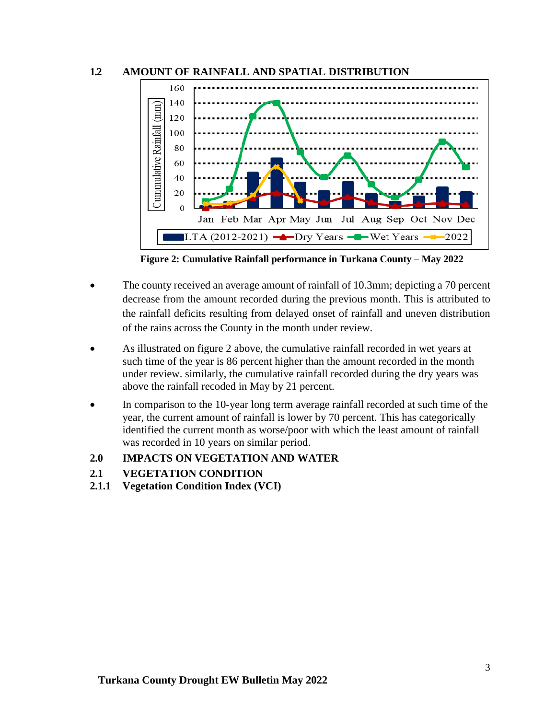



**Figure 2: Cumulative Rainfall performance in Turkana County – May 2022**

- The county received an average amount of rainfall of 10.3mm; depicting a 70 percent decrease from the amount recorded during the previous month. This is attributed to the rainfall deficits resulting from delayed onset of rainfall and uneven distribution of the rains across the County in the month under review.
- As illustrated on figure 2 above, the cumulative rainfall recorded in wet years at such time of the year is 86 percent higher than the amount recorded in the month under review. similarly, the cumulative rainfall recorded during the dry years was above the rainfall recoded in May by 21 percent.
- In comparison to the 10-year long term average rainfall recorded at such time of the year, the current amount of rainfall is lower by 70 percent. This has categorically identified the current month as worse/poor with which the least amount of rainfall was recorded in 10 years on similar period.
- **2.0 IMPACTS ON VEGETATION AND WATER**
- **2.1 VEGETATION CONDITION**
- **2.1.1 Vegetation Condition Index (VCI)**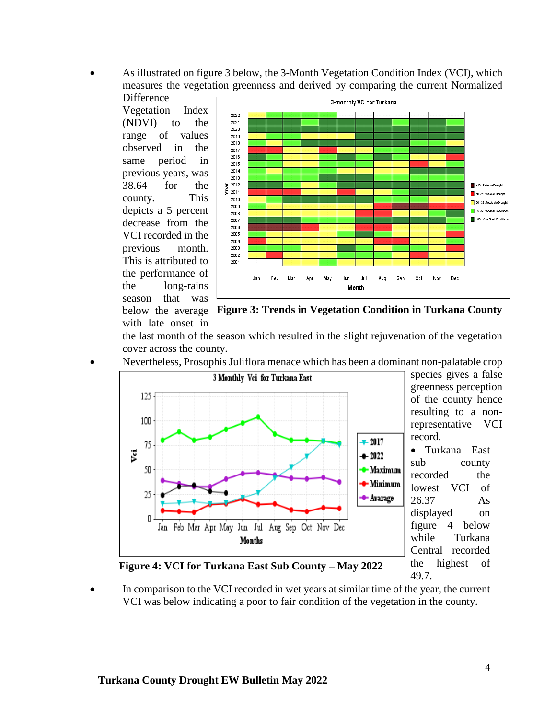• As illustrated on figure 3 below, the 3-Month Vegetation Condition Index (VCI), which measures the vegetation greenness and derived by comparing the current Normalized

**Difference** Vegetation Index (NDVI) to the range of values observed in the same period in previous years, was 38.64 for the county. This depicts a 5 percent decrease from the VCI recorded in the previous month. This is attributed to the performance of the long-rains season that was with late onset in



below the average **Figure 3: Trends in Vegetation Condition in Turkana County**

the last month of the season which resulted in the slight rejuvenation of the vegetation cover across the county.

• Nevertheless, Prosophis Juliflora menace which has been a dominant non-palatable crop



species gives a false greenness perception of the county hence resulting to a nonrepresentative VCI record.

• Turkana East sub county recorded the lowest VCI of 26.37 As displayed on figure 4 below while Turkana Central recorded the highest of 49.7.



In comparison to the VCI recorded in wet years at similar time of the year, the current VCI was below indicating a poor to fair condition of the vegetation in the county.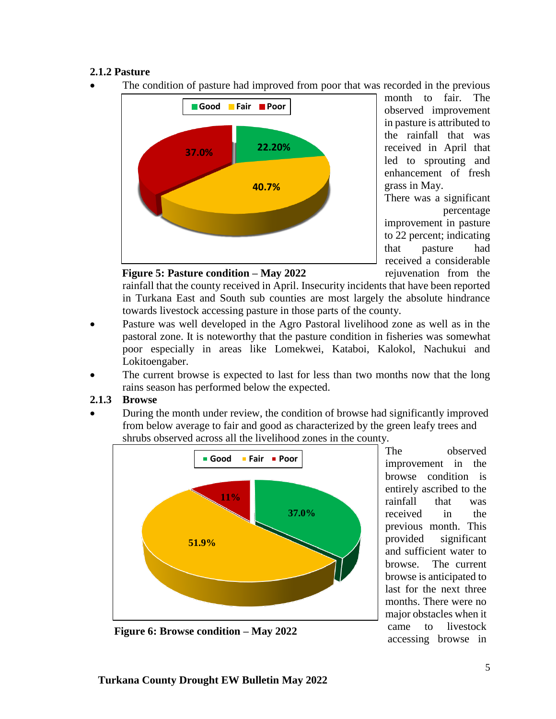## **2.1.2 Pasture**

The condition of pasture had improved from poor that was recorded in the previous



month to fair. The observed improvement in pasture is attributed to the rainfall that was received in April that led to sprouting and enhancement of fresh grass in May.

There was a significant percentage improvement in pasture to 22 percent; indicating that pasture had received a considerable rejuvenation from the

**Figure 5: Pasture condition – May 2022**

rainfall that the county received in April. Insecurity incidents that have been reported in Turkana East and South sub counties are most largely the absolute hindrance towards livestock accessing pasture in those parts of the county.

- Pasture was well developed in the Agro Pastoral livelihood zone as well as in the pastoral zone. It is noteworthy that the pasture condition in fisheries was somewhat poor especially in areas like Lomekwei, Kataboi, Kalokol, Nachukui and Lokitoengaber.
- The current browse is expected to last for less than two months now that the long rains season has performed below the expected.

#### **2.1.3 Browse**

• During the month under review, the condition of browse had significantly improved from below average to fair and good as characterized by the green leafy trees and shrubs observed across all the livelihood zones in the county.



The observed improvement in the browse condition is entirely ascribed to the rainfall that was received in the previous month. This provided significant and sufficient water to browse. The current browse is anticipated to last for the next three months. There were no major obstacles when it came to livestock accessing browse in

**Figure 6: Browse condition – May 2022**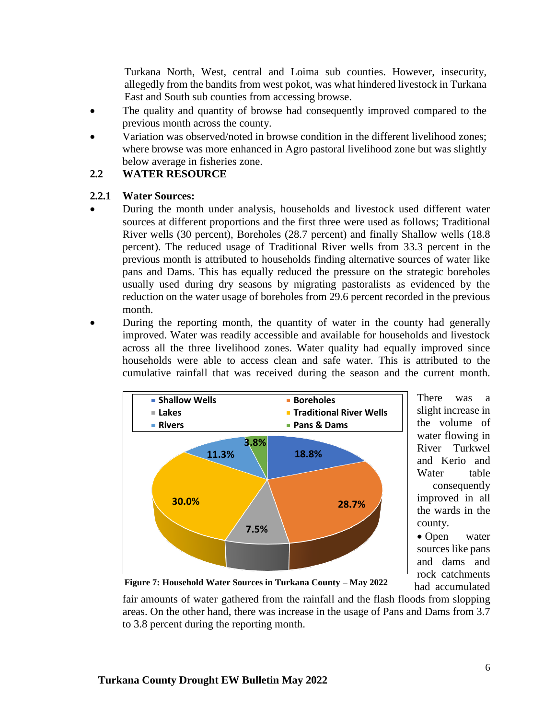Turkana North, West, central and Loima sub counties. However, insecurity, allegedly from the bandits from west pokot, was what hindered livestock in Turkana East and South sub counties from accessing browse.

- The quality and quantity of browse had consequently improved compared to the previous month across the county.
- Variation was observed/noted in browse condition in the different livelihood zones; where browse was more enhanced in Agro pastoral livelihood zone but was slightly below average in fisheries zone.

#### **2.2 WATER RESOURCE**

#### **2.2.1 Water Sources:**

- During the month under analysis, households and livestock used different water sources at different proportions and the first three were used as follows; Traditional River wells (30 percent), Boreholes (28.7 percent) and finally Shallow wells (18.8 percent). The reduced usage of Traditional River wells from 33.3 percent in the previous month is attributed to households finding alternative sources of water like pans and Dams. This has equally reduced the pressure on the strategic boreholes usually used during dry seasons by migrating pastoralists as evidenced by the reduction on the water usage of boreholes from 29.6 percent recorded in the previous month.
- During the reporting month, the quantity of water in the county had generally improved. Water was readily accessible and available for households and livestock across all the three livelihood zones. Water quality had equally improved since households were able to access clean and safe water. This is attributed to the cumulative rainfall that was received during the season and the current month.



There was a slight increase in the volume of water flowing in River Turkwel and Kerio and Water table consequently improved in all the wards in the county.

• Open water sources like pans and dams and rock catchments had accumulated

**Figure 7: Household Water Sources in Turkana County – May 2022**

fair amounts of water gathered from the rainfall and the flash floods from slopping areas. On the other hand, there was increase in the usage of Pans and Dams from 3.7 to 3.8 percent during the reporting month.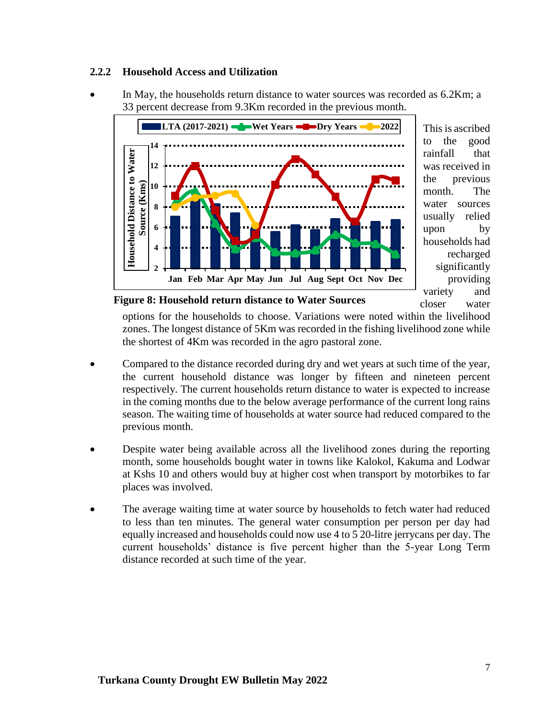#### **2.2.2 Household Access and Utilization**

• In May, the households return distance to water sources was recorded as 6.2Km; a 33 percent decrease from 9.3Km recorded in the previous month.



This is ascribed to the good rainfall that was received in the previous month. The water sources usually relied upon by households had recharged significantly providing variety and closer water

**Figure 8: Household return distance to Water Sources** 

options for the households to choose. Variations were noted within the livelihood zones. The longest distance of 5Km was recorded in the fishing livelihood zone while the shortest of 4Km was recorded in the agro pastoral zone.

- Compared to the distance recorded during dry and wet years at such time of the year, the current household distance was longer by fifteen and nineteen percent respectively. The current households return distance to water is expected to increase in the coming months due to the below average performance of the current long rains season. The waiting time of households at water source had reduced compared to the previous month.
- Despite water being available across all the livelihood zones during the reporting month, some households bought water in towns like Kalokol, Kakuma and Lodwar at Kshs 10 and others would buy at higher cost when transport by motorbikes to far places was involved.
- The average waiting time at water source by households to fetch water had reduced to less than ten minutes. The general water consumption per person per day had equally increased and households could now use 4 to 5 20-litre jerrycans per day. The current households' distance is five percent higher than the 5-year Long Term distance recorded at such time of the year.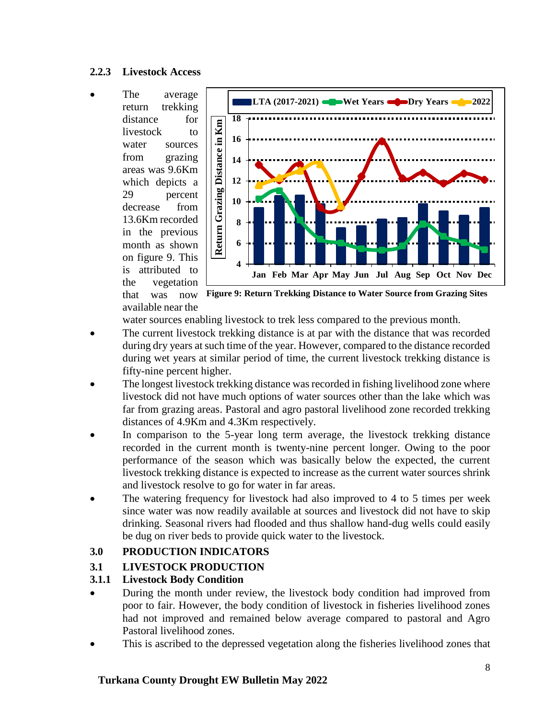#### **2.2.3 Livestock Access**

The average return trekking distance for livestock to water sources from grazing areas was 9.6Km which depicts a 29 percent decrease from 13.6Km recorded in the previous month as shown on figure 9. This is attributed to the vegetation that was now available near the



**Figure 9: Return Trekking Distance to Water Source from Grazing Sites**

water sources enabling livestock to trek less compared to the previous month.

- The current livestock trekking distance is at par with the distance that was recorded during dry years at such time of the year. However, compared to the distance recorded during wet years at similar period of time, the current livestock trekking distance is fifty-nine percent higher.
- The longest livestock trekking distance was recorded in fishing livelihood zone where livestock did not have much options of water sources other than the lake which was far from grazing areas. Pastoral and agro pastoral livelihood zone recorded trekking distances of 4.9Km and 4.3Km respectively.
- In comparison to the 5-year long term average, the livestock trekking distance recorded in the current month is twenty-nine percent longer. Owing to the poor performance of the season which was basically below the expected, the current livestock trekking distance is expected to increase as the current water sources shrink and livestock resolve to go for water in far areas.
- The watering frequency for livestock had also improved to 4 to 5 times per week since water was now readily available at sources and livestock did not have to skip drinking. Seasonal rivers had flooded and thus shallow hand-dug wells could easily be dug on river beds to provide quick water to the livestock.

## **3.0 PRODUCTION INDICATORS**

## **3.1 LIVESTOCK PRODUCTION**

## **3.1.1 Livestock Body Condition**

- During the month under review, the livestock body condition had improved from poor to fair. However, the body condition of livestock in fisheries livelihood zones had not improved and remained below average compared to pastoral and Agro Pastoral livelihood zones.
- This is ascribed to the depressed vegetation along the fisheries livelihood zones that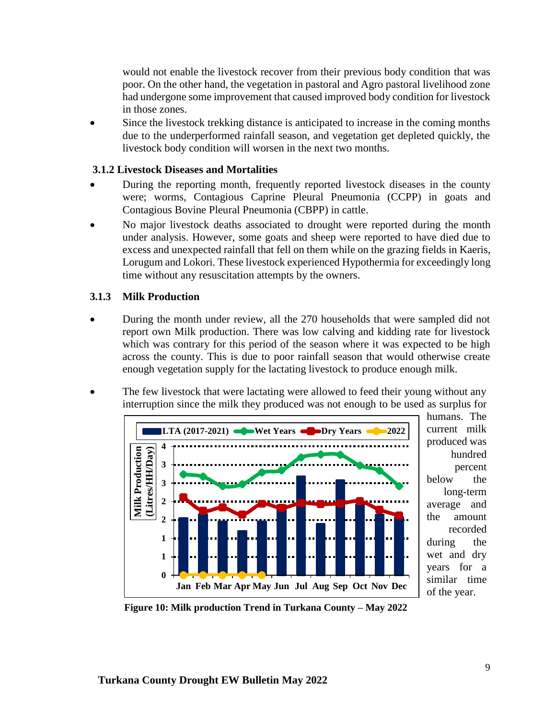would not enable the livestock recover from their previous body condition that was poor. On the other hand, the vegetation in pastoral and Agro pastoral livelihood zone had undergone some improvement that caused improved body condition for livestock in those zones.

Since the livestock trekking distance is anticipated to increase in the coming months due to the underperformed rainfall season, and vegetation get depleted quickly, the livestock body condition will worsen in the next two months.

#### **3.1.2 Livestock Diseases and Mortalities**

- During the reporting month, frequently reported livestock diseases in the county were; worms, Contagious Caprine Pleural Pneumonia (CCPP) in goats and Contagious Bovine Pleural Pneumonia (CBPP) in cattle.
- No major livestock deaths associated to drought were reported during the month under analysis. However, some goats and sheep were reported to have died due to excess and unexpected rainfall that fell on them while on the grazing fields in Kaeris, Lorugum and Lokori. These livestock experienced Hypothermia for exceedingly long time without any resuscitation attempts by the owners.

#### **3.1.3 Milk Production**

- During the month under review, all the 270 households that were sampled did not report own Milk production. There was low calving and kidding rate for livestock which was contrary for this period of the season where it was expected to be high across the county. This is due to poor rainfall season that would otherwise create enough vegetation supply for the lactating livestock to produce enough milk.
- The few livestock that were lactating were allowed to feed their young without any interruption since the milk they produced was not enough to be used as surplus for



humans. The current milk produced was hundred percent below the long-term average and the amount recorded during the wet and dry years for a similar time of the year.

**Figure 10: Milk production Trend in Turkana County – May 2022**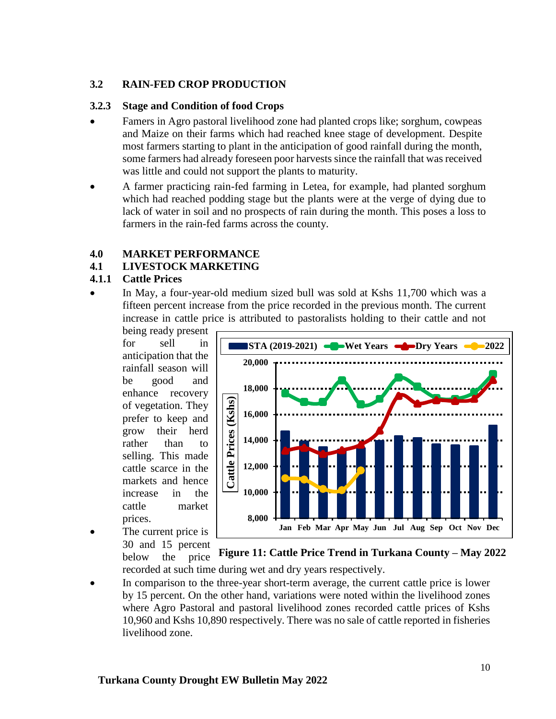#### **3.2 RAIN-FED CROP PRODUCTION**

#### **3.2.3 Stage and Condition of food Crops**

- Famers in Agro pastoral livelihood zone had planted crops like; sorghum, cowpeas and Maize on their farms which had reached knee stage of development. Despite most farmers starting to plant in the anticipation of good rainfall during the month, some farmers had already foreseen poor harvests since the rainfall that was received was little and could not support the plants to maturity.
- A farmer practicing rain-fed farming in Letea, for example, had planted sorghum which had reached podding stage but the plants were at the verge of dying due to lack of water in soil and no prospects of rain during the month. This poses a loss to farmers in the rain-fed farms across the county.

### **4.0 MARKET PERFORMANCE**

### **4.1 LIVESTOCK MARKETING**

#### **4.1.1 Cattle Prices**

• In May, a four-year-old medium sized bull was sold at Kshs 11,700 which was a fifteen percent increase from the price recorded in the previous month. The current increase in cattle price is attributed to pastoralists holding to their cattle and not

being ready present for sell in anticipation that the rainfall season will be good and enhance recovery of vegetation. They prefer to keep and grow their herd rather than to selling. This made cattle scarce in the markets and hence increase in the cattle market prices.

The current price is 30 and 15 percent below the price



recorded at such time during wet and dry years respectively. **Figure 11: Cattle Price Trend in Turkana County – May 2022**

In comparison to the three-year short-term average, the current cattle price is lower by 15 percent. On the other hand, variations were noted within the livelihood zones where Agro Pastoral and pastoral livelihood zones recorded cattle prices of Kshs 10,960 and Kshs 10,890 respectively. There was no sale of cattle reported in fisheries livelihood zone.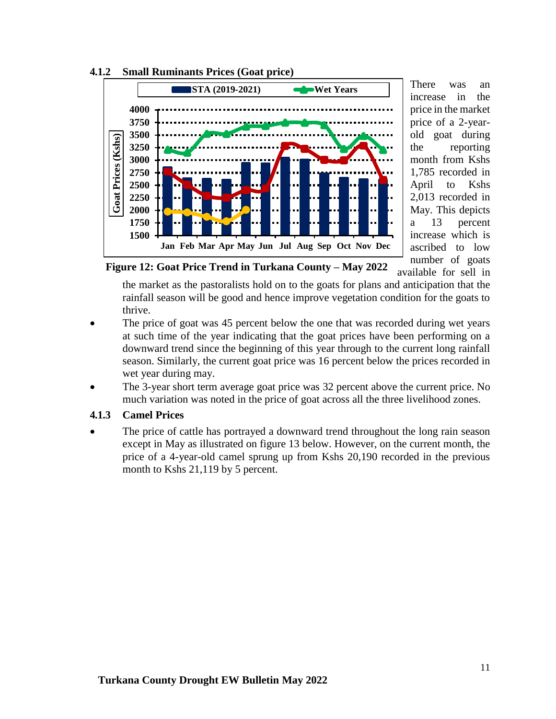

**4.1.2 Small Ruminants Prices (Goat price)**

There was an increase in the price in the market price of a 2-yearold goat during the reporting month from Kshs 1,785 recorded in April to Kshs 2,013 recorded in May. This depicts a 13 percent increase which is ascribed to low number of goats available for sell in

**Figure 12: Goat Price Trend in Turkana County – May 2022**

the market as the pastoralists hold on to the goats for plans and anticipation that the rainfall season will be good and hence improve vegetation condition for the goats to thrive.

- The price of goat was 45 percent below the one that was recorded during wet years at such time of the year indicating that the goat prices have been performing on a downward trend since the beginning of this year through to the current long rainfall season. Similarly, the current goat price was 16 percent below the prices recorded in wet year during may.
- The 3-year short term average goat price was 32 percent above the current price. No much variation was noted in the price of goat across all the three livelihood zones.

#### **4.1.3 Camel Prices**

• The price of cattle has portrayed a downward trend throughout the long rain season except in May as illustrated on figure 13 below. However, on the current month, the price of a 4-year-old camel sprung up from Kshs 20,190 recorded in the previous month to Kshs 21,119 by 5 percent.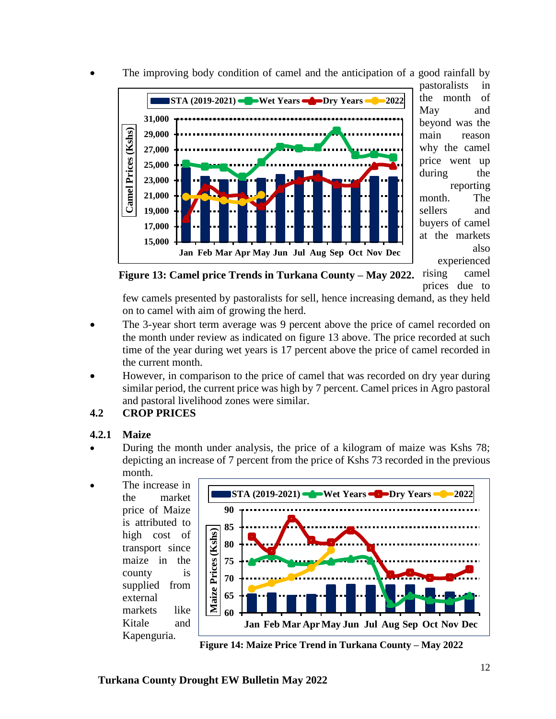

The improving body condition of camel and the anticipation of a good rainfall by

pastoralists in the month of May and beyond was the main reason why the camel price went up during the reporting month. The sellers and buyers of camel at the markets also experienced

rising camel prices due to **Figure 13: Camel price Trends in Turkana County – May 2022.**

few camels presented by pastoralists for sell, hence increasing demand, as they held on to camel with aim of growing the herd.

- The 3-year short term average was 9 percent above the price of camel recorded on the month under review as indicated on figure 13 above. The price recorded at such time of the year during wet years is 17 percent above the price of camel recorded in the current month.
- However, in comparison to the price of camel that was recorded on dry year during similar period, the current price was high by 7 percent. Camel prices in Agro pastoral and pastoral livelihood zones were similar.

## **4.2 CROP PRICES**

## **4.2.1 Maize**

• During the month under analysis, the price of a kilogram of maize was Kshs 78; depicting an increase of 7 percent from the price of Kshs 73 recorded in the previous month.

The increase in the market price of Maize is attributed to high cost of transport since maize in the county is supplied from external markets like Kitale and Kapenguria.



**Figure 14: Maize Price Trend in Turkana County – May 2022**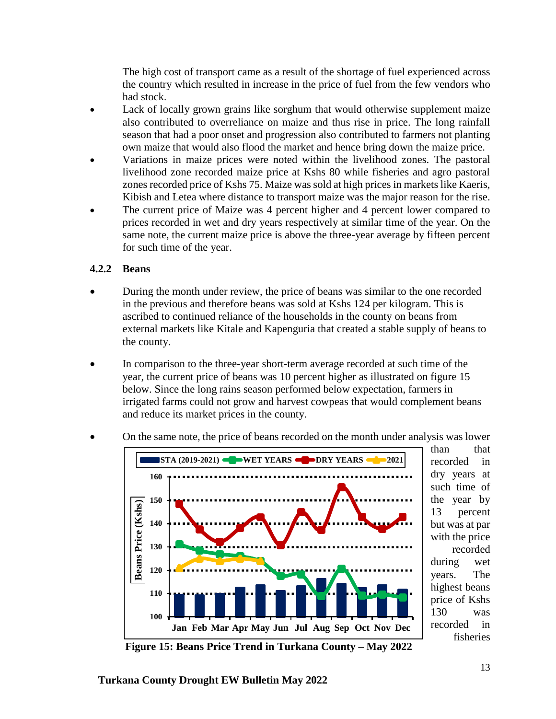The high cost of transport came as a result of the shortage of fuel experienced across the country which resulted in increase in the price of fuel from the few vendors who had stock.

- Lack of locally grown grains like sorghum that would otherwise supplement maize also contributed to overreliance on maize and thus rise in price. The long rainfall season that had a poor onset and progression also contributed to farmers not planting own maize that would also flood the market and hence bring down the maize price.
- Variations in maize prices were noted within the livelihood zones. The pastoral livelihood zone recorded maize price at Kshs 80 while fisheries and agro pastoral zones recorded price of Kshs 75. Maize was sold at high prices in markets like Kaeris, Kibish and Letea where distance to transport maize was the major reason for the rise.
- The current price of Maize was 4 percent higher and 4 percent lower compared to prices recorded in wet and dry years respectively at similar time of the year. On the same note, the current maize price is above the three-year average by fifteen percent for such time of the year.

### **4.2.2 Beans**

- During the month under review, the price of beans was similar to the one recorded in the previous and therefore beans was sold at Kshs 124 per kilogram. This is ascribed to continued reliance of the households in the county on beans from external markets like Kitale and Kapenguria that created a stable supply of beans to the county.
- In comparison to the three-year short-term average recorded at such time of the year, the current price of beans was 10 percent higher as illustrated on figure 15 below. Since the long rains season performed below expectation, farmers in irrigated farms could not grow and harvest cowpeas that would complement beans and reduce its market prices in the county.



• On the same note, the price of beans recorded on the month under analysis was lower

**Figure 15: Beans Price Trend in Turkana County – May 2022**

than that recorded in dry years at such time of the year by 13 percent but was at par with the price recorded during wet years. The highest beans price of Kshs 130 was recorded in fisheries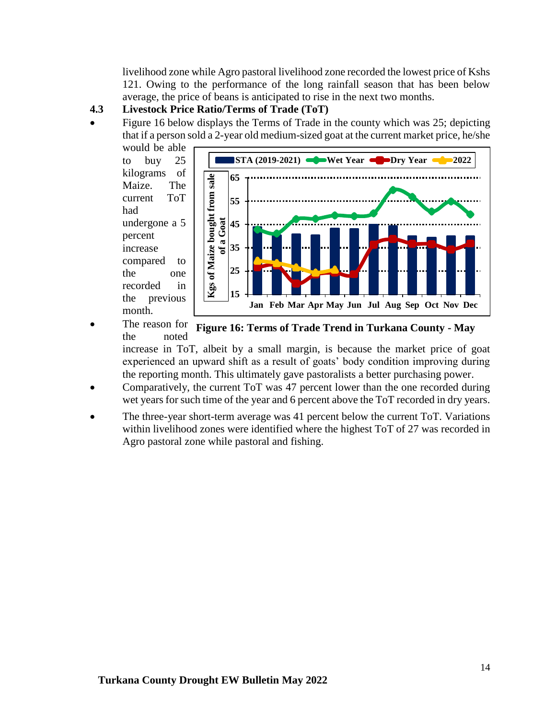livelihood zone while Agro pastoral livelihood zone recorded the lowest price of Kshs 121. Owing to the performance of the long rainfall season that has been below average, the price of beans is anticipated to rise in the next two months.

### **4.3 Livestock Price Ratio/Terms of Trade (ToT)**

• Figure 16 below displays the Terms of Trade in the county which was 25; depicting that if a person sold a 2-year old medium-sized goat at the current market price, he/she would be able

to buy 25 kilograms of Maize. The current ToT had undergone a 5 percent increase compared to the one recorded in the previous month.



The reason for the noted **Figure 16: Terms of Trade Trend in Turkana County - May 2022**

increase in ToT, albeit by a small margin, is because the market price of goat experienced an upward shift as a result of goats' body condition improving during the reporting month. This ultimately gave pastoralists a better purchasing power.

- Comparatively, the current ToT was 47 percent lower than the one recorded during wet years for such time of the year and 6 percent above the ToT recorded in dry years.
- The three-year short-term average was 41 percent below the current ToT. Variations within livelihood zones were identified where the highest ToT of 27 was recorded in Agro pastoral zone while pastoral and fishing.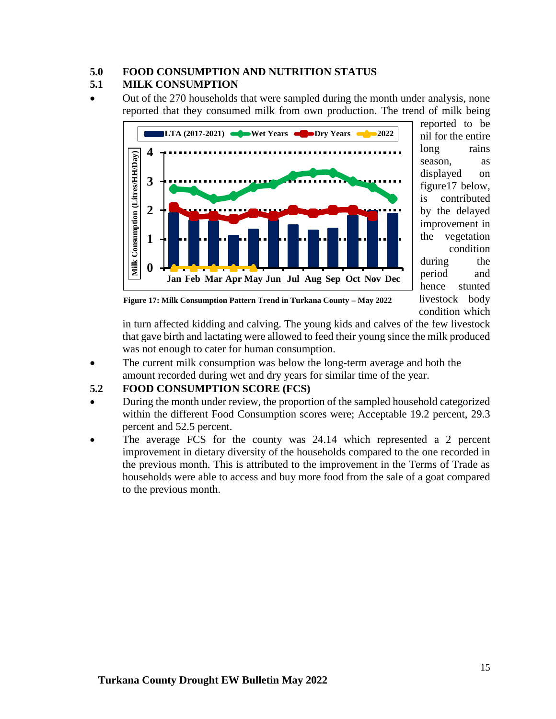## **5.0 FOOD CONSUMPTION AND NUTRITION STATUS**

### **5.1 MILK CONSUMPTION**

• Out of the 270 households that were sampled during the month under analysis, none reported that they consumed milk from own production. The trend of milk being



reported to be nil for the entire long rains season. as displayed on figure17 below, is contributed by the delayed improvement in the vegetation condition during the period and hence stunted livestock body condition which

**Figure 17: Milk Consumption Pattern Trend in Turkana County – May 2022**

in turn affected kidding and calving. The young kids and calves of the few livestock that gave birth and lactating were allowed to feed their young since the milk produced was not enough to cater for human consumption.

• The current milk consumption was below the long-term average and both the amount recorded during wet and dry years for similar time of the year.

## **5.2 FOOD CONSUMPTION SCORE (FCS)**

- During the month under review, the proportion of the sampled household categorized within the different Food Consumption scores were; Acceptable 19.2 percent, 29.3 percent and 52.5 percent.
- The average FCS for the county was 24.14 which represented a 2 percent improvement in dietary diversity of the households compared to the one recorded in the previous month. This is attributed to the improvement in the Terms of Trade as households were able to access and buy more food from the sale of a goat compared to the previous month.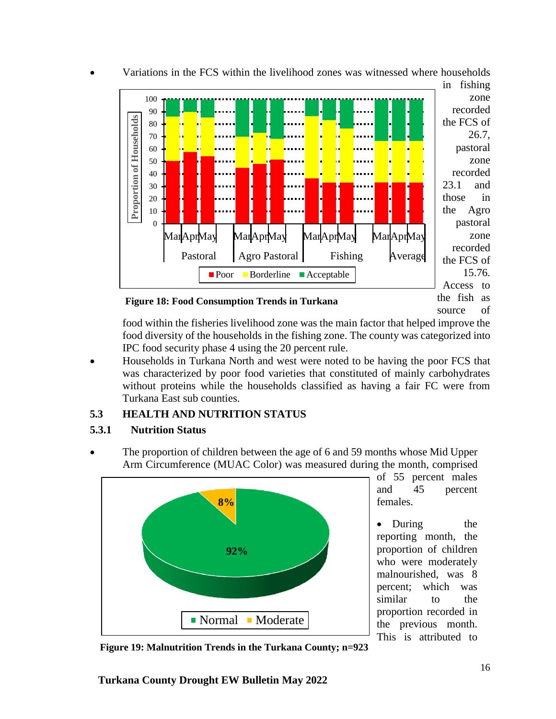

• Variations in the FCS within the livelihood zones was witnessed where households

**Figure 18: Food Consumption Trends in Turkana**

source of

food within the fisheries livelihood zone was the main factor that helped improve the food diversity of the households in the fishing zone. The county was categorized into IPC food security phase 4 using the 20 percent rule.

• Households in Turkana North and west were noted to be having the poor FCS that was characterized by poor food varieties that constituted of mainly carbohydrates without proteins while the households classified as having a fair FC were from Turkana East sub counties.

## **5.3 HEALTH AND NUTRITION STATUS**

## **5.3.1 Nutrition Status**

• The proportion of children between the age of 6 and 59 months whose Mid Upper Arm Circumference (MUAC Color) was measured during the month, comprised



of 55 percent males and 45 percent females.

During the reporting month, the proportion of children who were moderately malnourished, was 8 percent; which was similar to the proportion recorded in the previous month. This is attributed to

**Figure 19: Malnutrition Trends in the Turkana County; n=923**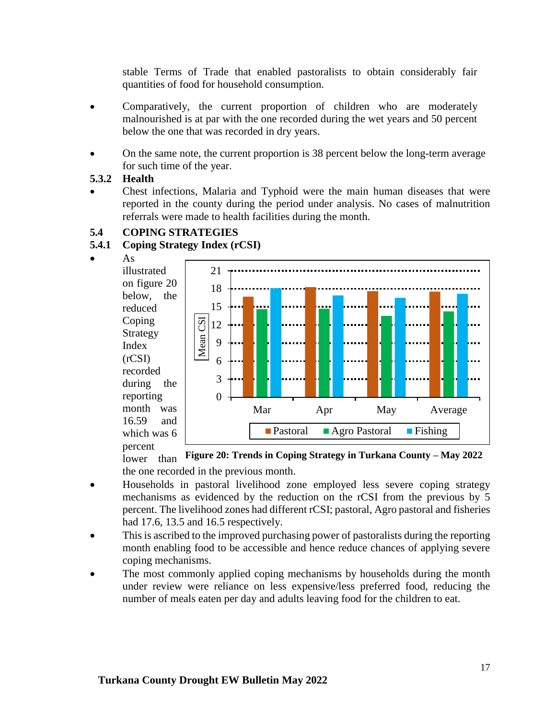stable Terms of Trade that enabled pastoralists to obtain considerably fair quantities of food for household consumption.

- Comparatively, the current proportion of children who are moderately malnourished is at par with the one recorded during the wet years and 50 percent below the one that was recorded in dry years.
- On the same note, the current proportion is 38 percent below the long-term average for such time of the year.

### **5.3.2 Health**

• Chest infections, Malaria and Typhoid were the main human diseases that were reported in the county during the period under analysis. No cases of malnutrition referrals were made to health facilities during the month.

## **5.4 COPING STRATEGIES**

## **5.4.1 Coping Strategy Index (rCSI)**



illustrated on figure 20 below, the reduced Coping Strategy Index (rCSI) recorded during the reporting month was 16.59 and which was 6 percent



lower than **Figure 20: Trends in Coping Strategy in Turkana County – May 2022**the one recorded in the previous month.

- Households in pastoral livelihood zone employed less severe coping strategy mechanisms as evidenced by the reduction on the rCSI from the previous by 5 percent. The livelihood zones had different rCSI; pastoral, Agro pastoral and fisheries had 17.6, 13.5 and 16.5 respectively.
- This is ascribed to the improved purchasing power of pastoralists during the reporting month enabling food to be accessible and hence reduce chances of applying severe coping mechanisms.
- The most commonly applied coping mechanisms by households during the month under review were reliance on less expensive/less preferred food, reducing the number of meals eaten per day and adults leaving food for the children to eat.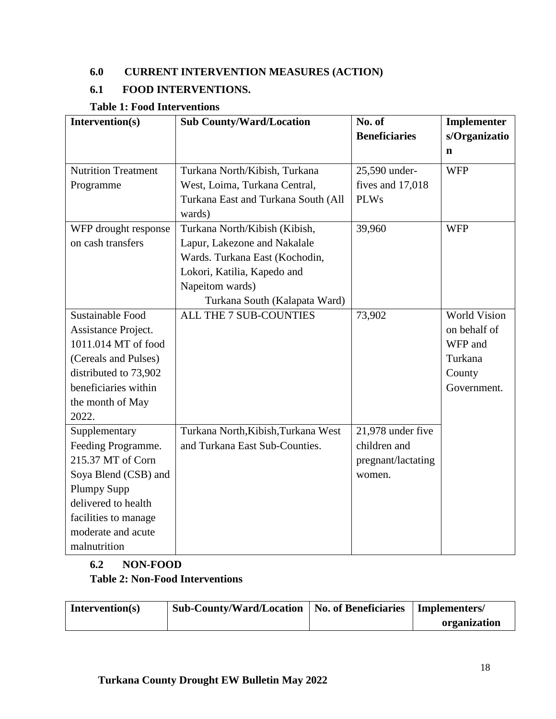## **6.0 CURRENT INTERVENTION MEASURES (ACTION)**

## **6.1 FOOD INTERVENTIONS.**

## **Table 1: Food Interventions**

| Intervention(s)            | <b>Sub County/Ward/Location</b>     | No. of               | Implementer         |  |
|----------------------------|-------------------------------------|----------------------|---------------------|--|
|                            |                                     | <b>Beneficiaries</b> | s/Organizatio       |  |
|                            |                                     |                      | $\mathbf n$         |  |
| <b>Nutrition Treatment</b> | Turkana North/Kibish, Turkana       | 25,590 under-        | <b>WFP</b>          |  |
| Programme                  | West, Loima, Turkana Central,       | fives and 17,018     |                     |  |
|                            | Turkana East and Turkana South (All | <b>PLWs</b>          |                     |  |
|                            | wards)                              |                      |                     |  |
| WFP drought response       | Turkana North/Kibish (Kibish,       | 39,960               | <b>WFP</b>          |  |
| on cash transfers          | Lapur, Lakezone and Nakalale        |                      |                     |  |
|                            | Wards. Turkana East (Kochodin,      |                      |                     |  |
|                            | Lokori, Katilia, Kapedo and         |                      |                     |  |
|                            | Napeitom wards)                     |                      |                     |  |
|                            | Turkana South (Kalapata Ward)       |                      |                     |  |
| <b>Sustainable Food</b>    | ALL THE 7 SUB-COUNTIES              | 73,902               | <b>World Vision</b> |  |
| Assistance Project.        |                                     |                      | on behalf of        |  |
| 1011.014 MT of food        |                                     |                      | WFP and             |  |
| (Cereals and Pulses)       |                                     |                      | Turkana             |  |
| distributed to 73,902      |                                     |                      | County              |  |
| beneficiaries within       |                                     |                      | Government.         |  |
| the month of May           |                                     |                      |                     |  |
| 2022.                      |                                     |                      |                     |  |
| Supplementary              | Turkana North, Kibish, Turkana West | 21,978 under five    |                     |  |
| Feeding Programme.         | and Turkana East Sub-Counties.      | children and         |                     |  |
| 215.37 MT of Corn          |                                     | pregnant/lactating   |                     |  |
| Soya Blend (CSB) and       |                                     | women.               |                     |  |
| <b>Plumpy Supp</b>         |                                     |                      |                     |  |
| delivered to health        |                                     |                      |                     |  |
| facilities to manage       |                                     |                      |                     |  |
| moderate and acute         |                                     |                      |                     |  |
| malnutrition               |                                     |                      |                     |  |

## **6.2 NON-FOOD Table 2: Non-Food Interventions**

| Intervention(s) | Sub-County/Ward/Location   No. of Beneficiaries | Implementers/ |
|-----------------|-------------------------------------------------|---------------|
|                 |                                                 | organization  |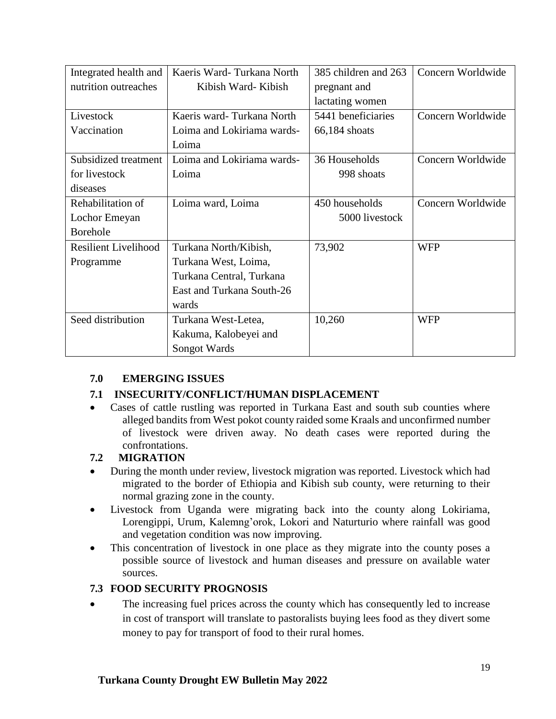| Integrated health and       | Kaeris Ward-Turkana North  | 385 children and 263 | Concern Worldwide |
|-----------------------------|----------------------------|----------------------|-------------------|
| nutrition outreaches        | Kibish Ward-Kibish         | pregnant and         |                   |
|                             |                            | lactating women      |                   |
| Livestock                   | Kaeris ward-Turkana North  | 5441 beneficiaries   | Concern Worldwide |
| Vaccination                 | Loima and Lokiriama wards- | $66,184$ shoats      |                   |
|                             | Loima                      |                      |                   |
| Subsidized treatment        | Loima and Lokiriama wards- | 36 Households        | Concern Worldwide |
| for livestock               | Loima                      |                      |                   |
| diseases                    |                            |                      |                   |
| Rehabilitation of           | Loima ward, Loima          | 450 households       | Concern Worldwide |
| Lochor Emeyan               |                            | 5000 livestock       |                   |
| <b>Borehole</b>             |                            |                      |                   |
| <b>Resilient Livelihood</b> | Turkana North/Kibish,      | 73,902               | <b>WFP</b>        |
| Programme                   | Turkana West, Loima,       |                      |                   |
|                             | Turkana Central, Turkana   |                      |                   |
|                             | East and Turkana South-26  |                      |                   |
|                             | wards                      |                      |                   |
| Seed distribution           | Turkana West-Letea,        | 10,260               | <b>WFP</b>        |
|                             | Kakuma, Kalobeyei and      |                      |                   |
|                             | Songot Wards               |                      |                   |

## **7.0 EMERGING ISSUES**

## **7.1 INSECURITY/CONFLICT/HUMAN DISPLACEMENT**

• Cases of cattle rustling was reported in Turkana East and south sub counties where alleged bandits from West pokot county raided some Kraals and unconfirmed number of livestock were driven away. No death cases were reported during the confrontations.

#### **7.2 MIGRATION**

- During the month under review, livestock migration was reported. Livestock which had migrated to the border of Ethiopia and Kibish sub county, were returning to their normal grazing zone in the county.
- Livestock from Uganda were migrating back into the county along Lokiriama, Lorengippi, Urum, Kalemng'orok, Lokori and Naturturio where rainfall was good and vegetation condition was now improving.
- This concentration of livestock in one place as they migrate into the county poses a possible source of livestock and human diseases and pressure on available water sources.

#### **7.3 FOOD SECURITY PROGNOSIS**

• The increasing fuel prices across the county which has consequently led to increase in cost of transport will translate to pastoralists buying lees food as they divert some money to pay for transport of food to their rural homes.